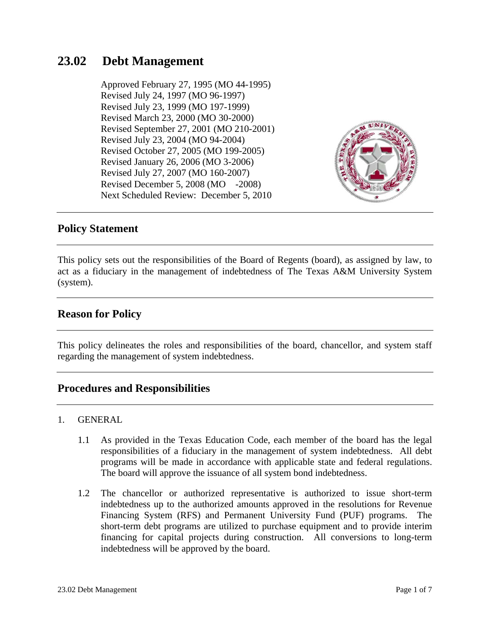# **23.02 Debt Management**

Approved February 27, 1995 (MO 44-1995) Revised July 24, 1997 (MO 96-1997) Revised July 23, 1999 (MO 197-1999) Revised March 23, 2000 (MO 30-2000) Revised September 27, 2001 (MO 210-2001) Revised July 23, 2004 (MO 94-2004) Revised October 27, 2005 (MO 199-2005) Revised January 26, 2006 (MO 3-2006) Revised July 27, 2007 (MO 160-2007) Revised December 5, 2008 (MO -2008) Next Scheduled Review: December 5, 2010



### **Policy Statement**

This policy sets out the responsibilities of the Board of Regents (board), as assigned by law, to act as a fiduciary in the management of indebtedness of The Texas A&M University System (system).

## **Reason for Policy**

This policy delineates the roles and responsibilities of the board, chancellor, and system staff regarding the management of system indebtedness.

### **Procedures and Responsibilities**

#### 1. GENERAL

- 1.1 As provided in the Texas Education Code, each member of the board has the legal responsibilities of a fiduciary in the management of system indebtedness. All debt programs will be made in accordance with applicable state and federal regulations. The board will approve the issuance of all system bond indebtedness.
- 1.2 The chancellor or authorized representative is authorized to issue short-term indebtedness up to the authorized amounts approved in the resolutions for Revenue Financing System (RFS) and Permanent University Fund (PUF) programs. The short-term debt programs are utilized to purchase equipment and to provide interim financing for capital projects during construction. All conversions to long-term indebtedness will be approved by the board.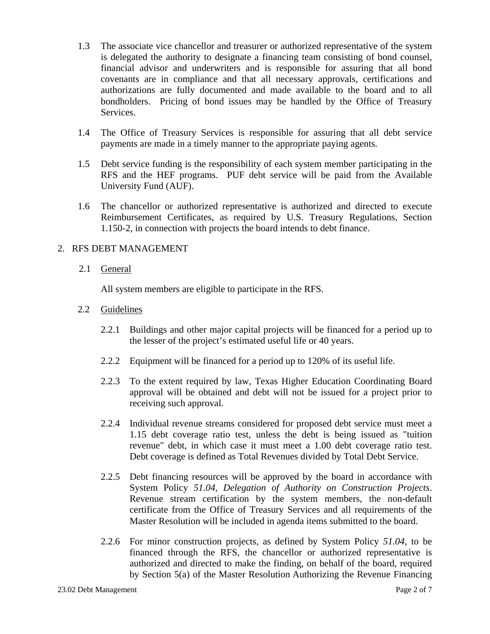- 1.3 The associate vice chancellor and treasurer or authorized representative of the system is delegated the authority to designate a financing team consisting of bond counsel, financial advisor and underwriters and is responsible for assuring that all bond covenants are in compliance and that all necessary approvals, certifications and authorizations are fully documented and made available to the board and to all bondholders. Pricing of bond issues may be handled by the Office of Treasury Services.
- 1.4 The Office of Treasury Services is responsible for assuring that all debt service payments are made in a timely manner to the appropriate paying agents.
- 1.5 Debt service funding is the responsibility of each system member participating in the RFS and the HEF programs. PUF debt service will be paid from the Available University Fund (AUF).
- 1.6 The chancellor or authorized representative is authorized and directed to execute Reimbursement Certificates, as required by U.S. Treasury Regulations, Section 1.150-2, in connection with projects the board intends to debt finance.

### 2. RFS DEBT MANAGEMENT

2.1 General

All system members are eligible to participate in the RFS.

- 2.2 Guidelines
	- 2.2.1 Buildings and other major capital projects will be financed for a period up to the lesser of the project's estimated useful life or 40 years.
	- 2.2.2 Equipment will be financed for a period up to 120% of its useful life.
	- 2.2.3 To the extent required by law, Texas Higher Education Coordinating Board approval will be obtained and debt will not be issued for a project prior to receiving such approval.
	- 2.2.4 Individual revenue streams considered for proposed debt service must meet a 1.15 debt coverage ratio test, unless the debt is being issued as "tuition revenue" debt, in which case it must meet a 1.00 debt coverage ratio test. Debt coverage is defined as Total Revenues divided by Total Debt Service.
	- 2.2.5 Debt financing resources will be approved by the board in accordance with System Policy *51.04, Delegation of Authority on Construction Projects*. Revenue stream certification by the system members, the non-default certificate from the Office of Treasury Services and all requirements of the Master Resolution will be included in agenda items submitted to the board.
	- 2.2.6 For minor construction projects, as defined by System Policy *51.04*, to be financed through the RFS, the chancellor or authorized representative is authorized and directed to make the finding, on behalf of the board, required by Section 5(a) of the Master Resolution Authorizing the Revenue Financing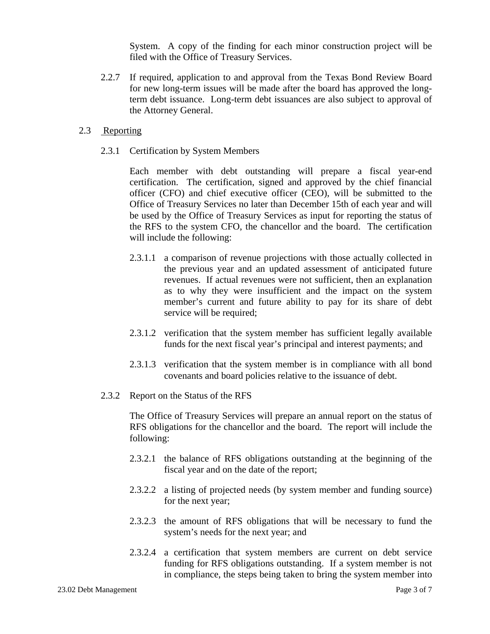System. A copy of the finding for each minor construction project will be filed with the Office of Treasury Services.

2.2.7 If required, application to and approval from the Texas Bond Review Board for new long-term issues will be made after the board has approved the longterm debt issuance. Long-term debt issuances are also subject to approval of the Attorney General.

#### 2.3 Reporting

2.3.1 Certification by System Members

Each member with debt outstanding will prepare a fiscal year-end certification. The certification, signed and approved by the chief financial officer (CFO) and chief executive officer (CEO), will be submitted to the Office of Treasury Services no later than December 15th of each year and will be used by the Office of Treasury Services as input for reporting the status of the RFS to the system CFO, the chancellor and the board. The certification will include the following:

- 2.3.1.1 a comparison of revenue projections with those actually collected in the previous year and an updated assessment of anticipated future revenues. If actual revenues were not sufficient, then an explanation as to why they were insufficient and the impact on the system member's current and future ability to pay for its share of debt service will be required;
- 2.3.1.2 verification that the system member has sufficient legally available funds for the next fiscal year's principal and interest payments; and
- 2.3.1.3 verification that the system member is in compliance with all bond covenants and board policies relative to the issuance of debt.
- 2.3.2 Report on the Status of the RFS

The Office of Treasury Services will prepare an annual report on the status of RFS obligations for the chancellor and the board. The report will include the following:

- 2.3.2.1 the balance of RFS obligations outstanding at the beginning of the fiscal year and on the date of the report;
- 2.3.2.2 a listing of projected needs (by system member and funding source) for the next year;
- 2.3.2.3 the amount of RFS obligations that will be necessary to fund the system's needs for the next year; and
- 2.3.2.4 a certification that system members are current on debt service funding for RFS obligations outstanding. If a system member is not in compliance, the steps being taken to bring the system member into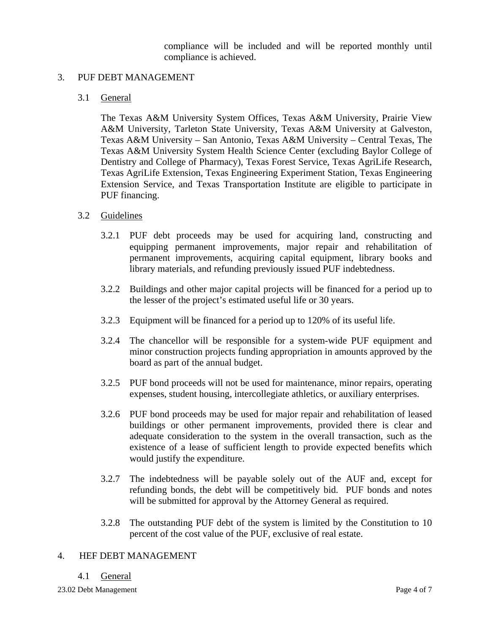compliance will be included and will be reported monthly until compliance is achieved.

#### 3. PUF DEBT MANAGEMENT

#### 3.1 General

The Texas A&M University System Offices, Texas A&M University, Prairie View A&M University, Tarleton State University, Texas A&M University at Galveston, Texas A&M University – San Antonio, Texas A&M University – Central Texas, The Texas A&M University System Health Science Center (excluding Baylor College of Dentistry and College of Pharmacy), Texas Forest Service, Texas AgriLife Research, Texas AgriLife Extension, Texas Engineering Experiment Station, Texas Engineering Extension Service, and Texas Transportation Institute are eligible to participate in PUF financing.

#### 3.2 Guidelines

- 3.2.1 PUF debt proceeds may be used for acquiring land, constructing and equipping permanent improvements, major repair and rehabilitation of permanent improvements, acquiring capital equipment, library books and library materials, and refunding previously issued PUF indebtedness.
- 3.2.2 Buildings and other major capital projects will be financed for a period up to the lesser of the project's estimated useful life or 30 years.
- 3.2.3 Equipment will be financed for a period up to 120% of its useful life.
- 3.2.4 The chancellor will be responsible for a system-wide PUF equipment and minor construction projects funding appropriation in amounts approved by the board as part of the annual budget.
- 3.2.5 PUF bond proceeds will not be used for maintenance, minor repairs, operating expenses, student housing, intercollegiate athletics, or auxiliary enterprises.
- 3.2.6 PUF bond proceeds may be used for major repair and rehabilitation of leased buildings or other permanent improvements, provided there is clear and adequate consideration to the system in the overall transaction, such as the existence of a lease of sufficient length to provide expected benefits which would justify the expenditure.
- 3.2.7 The indebtedness will be payable solely out of the AUF and, except for refunding bonds, the debt will be competitively bid. PUF bonds and notes will be submitted for approval by the Attorney General as required.
- 3.2.8 The outstanding PUF debt of the system is limited by the Constitution to 10 percent of the cost value of the PUF, exclusive of real estate.

#### 4. HEF DEBT MANAGEMENT

#### 4.1 General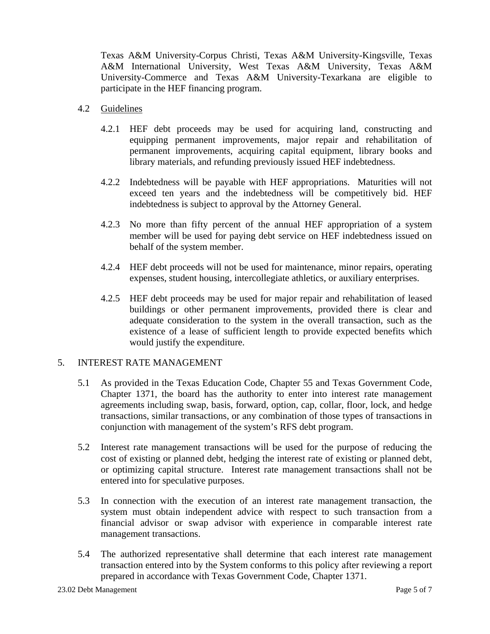Texas A&M University-Corpus Christi, Texas A&M University-Kingsville, Texas A&M International University, West Texas A&M University, Texas A&M University-Commerce and Texas A&M University-Texarkana are eligible to participate in the HEF financing program.

#### 4.2 Guidelines

- 4.2.1 HEF debt proceeds may be used for acquiring land, constructing and equipping permanent improvements, major repair and rehabilitation of permanent improvements, acquiring capital equipment, library books and library materials, and refunding previously issued HEF indebtedness.
- 4.2.2 Indebtedness will be payable with HEF appropriations. Maturities will not exceed ten years and the indebtedness will be competitively bid. HEF indebtedness is subject to approval by the Attorney General.
- 4.2.3 No more than fifty percent of the annual HEF appropriation of a system member will be used for paying debt service on HEF indebtedness issued on behalf of the system member.
- 4.2.4 HEF debt proceeds will not be used for maintenance, minor repairs, operating expenses, student housing, intercollegiate athletics, or auxiliary enterprises.
- 4.2.5 HEF debt proceeds may be used for major repair and rehabilitation of leased buildings or other permanent improvements, provided there is clear and adequate consideration to the system in the overall transaction, such as the existence of a lease of sufficient length to provide expected benefits which would justify the expenditure.

### 5. INTEREST RATE MANAGEMENT

- 5.1 As provided in the Texas Education Code, Chapter 55 and Texas Government Code, Chapter 1371, the board has the authority to enter into interest rate management agreements including swap, basis, forward, option, cap, collar, floor, lock, and hedge transactions, similar transactions, or any combination of those types of transactions in conjunction with management of the system's RFS debt program.
- 5.2 Interest rate management transactions will be used for the purpose of reducing the cost of existing or planned debt, hedging the interest rate of existing or planned debt, or optimizing capital structure. Interest rate management transactions shall not be entered into for speculative purposes.
- 5.3 In connection with the execution of an interest rate management transaction, the system must obtain independent advice with respect to such transaction from a financial advisor or swap advisor with experience in comparable interest rate management transactions.
- 5.4 The authorized representative shall determine that each interest rate management transaction entered into by the System conforms to this policy after reviewing a report prepared in accordance with Texas Government Code, Chapter 1371.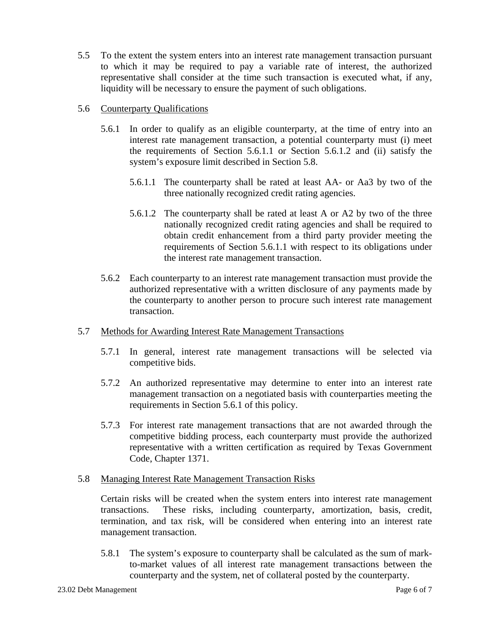5.5 To the extent the system enters into an interest rate management transaction pursuant to which it may be required to pay a variable rate of interest, the authorized representative shall consider at the time such transaction is executed what, if any, liquidity will be necessary to ensure the payment of such obligations.

#### 5.6 Counterparty Qualifications

- 5.6.1 In order to qualify as an eligible counterparty, at the time of entry into an interest rate management transaction, a potential counterparty must (i) meet the requirements of Section 5.6.1.1 or Section 5.6.1.2 and (ii) satisfy the system's exposure limit described in Section 5.8.
	- 5.6.1.1 The counterparty shall be rated at least AA- or Aa3 by two of the three nationally recognized credit rating agencies.
	- 5.6.1.2 The counterparty shall be rated at least A or A2 by two of the three nationally recognized credit rating agencies and shall be required to obtain credit enhancement from a third party provider meeting the requirements of Section 5.6.1.1 with respect to its obligations under the interest rate management transaction.
- 5.6.2 Each counterparty to an interest rate management transaction must provide the authorized representative with a written disclosure of any payments made by the counterparty to another person to procure such interest rate management transaction.
- 5.7 Methods for Awarding Interest Rate Management Transactions
	- 5.7.1 In general, interest rate management transactions will be selected via competitive bids.
	- 5.7.2 An authorized representative may determine to enter into an interest rate management transaction on a negotiated basis with counterparties meeting the requirements in Section 5.6.1 of this policy.
	- 5.7.3 For interest rate management transactions that are not awarded through the competitive bidding process, each counterparty must provide the authorized representative with a written certification as required by Texas Government Code, Chapter 1371.

#### 5.8 Managing Interest Rate Management Transaction Risks

Certain risks will be created when the system enters into interest rate management transactions. These risks, including counterparty, amortization, basis, credit, termination, and tax risk, will be considered when entering into an interest rate management transaction.

5.8.1 The system's exposure to counterparty shall be calculated as the sum of markto-market values of all interest rate management transactions between the counterparty and the system, net of collateral posted by the counterparty.